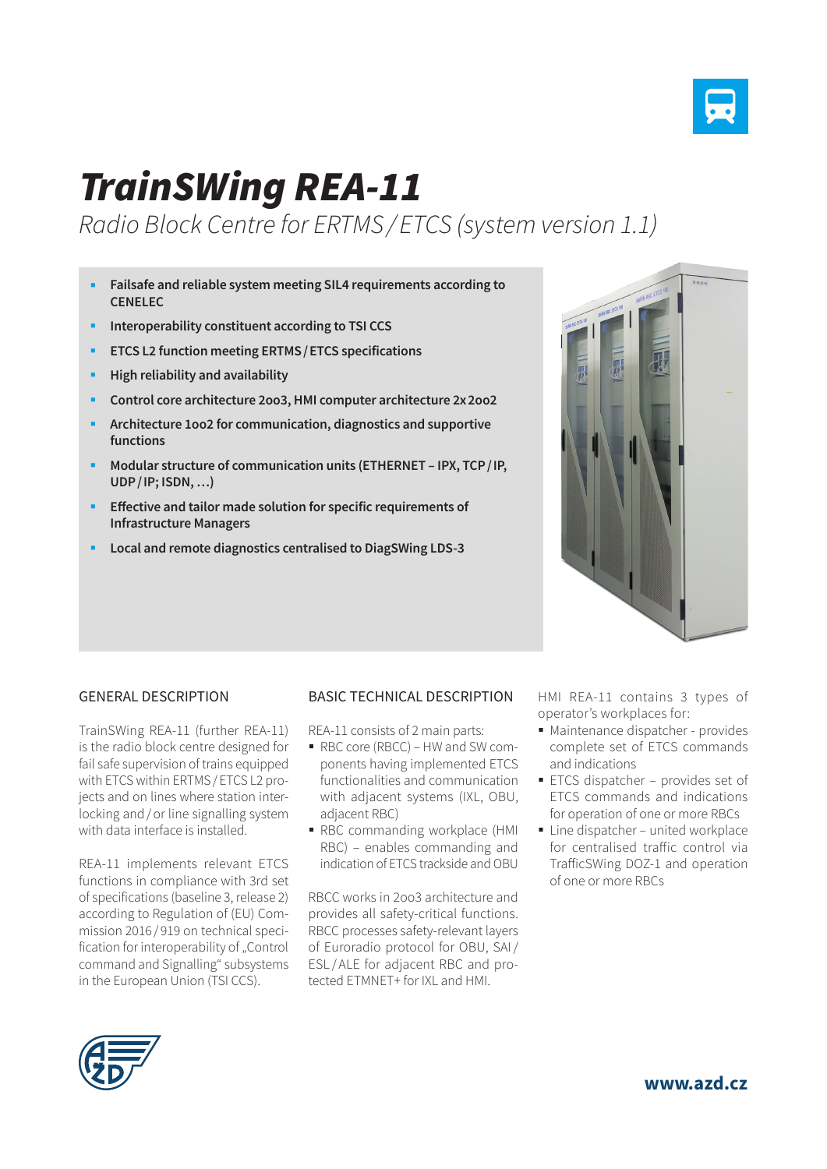

# *TrainSWing REA-11*

*Radio Block Centre for ERTMS / ETCS (system version 1.1)*

- **Failsafe and reliable system meeting SIL4 requirements according to CENELEC**
- **Interoperability constituent according to TSI CCS**
- **ETCS L2 function meeting ERTMS/ETCS specifications**
- **High reliability and availability**
- **Control core architecture 2oo3, HMI computer architecture 2x2oo2**
- **Architecture 1oo2 for communication, diagnostics and supportive functions**
- **Modular structure of communication units (ETHERNET IPX, TCP/IP, UDP/IP; ISDN, …)**
- **Effective and tailor made solution for specific requirements of Infrastructure Managers**
- **Local and remote diagnostics centralised to DiagSWing LDS-3**



#### GENERAL DESCRIPTION

TrainSWing REA-11 (further REA-11) is the radio block centre designed for fail safe supervision of trains equipped with ETCS within ERTMS/ETCS L2 projects and on lines where station interlocking and/or line signalling system with data interface is installed.

REA-11 implements relevant ETCS functions in compliance with 3rd set of specifications (baseline 3, release 2) according to Regulation of (EU) Commission 2016 / 919 on technical specification for interoperability of "Control command and Signalling" subsystems in the European Union (TSI CCS).

#### BASIC TECHNICAL DESCRIPTION

- REA-11 consists of 2 main parts:
- RBC core (RBCC) HW and SW components having implemented ETCS functionalities and communication with adjacent systems (IXL, OBU, adjacent RBC)
- RBC commanding workplace (HMI RBC) – enables commanding and indication of ETCS trackside and OBU

RBCC works in 2oo3 architecture and provides all safety-critical functions. RBCC processes safety-relevant layers of Euroradio protocol for OBU, SAI/ ESL / ALE for adjacent RBC and protected ETMNET+ for IXL and HMI.

HMI REA-11 contains 3 types of operator's workplaces for:

- Maintenance dispatcher provides complete set of ETCS commands and indications
- ETCS dispatcher provides set of ETCS commands and indications for operation of one or more RBCs
- $\blacksquare$  Line dispatcher united workplace for centralised traffic control via TrafficSWing DOZ-1 and operation of one or more RBCs